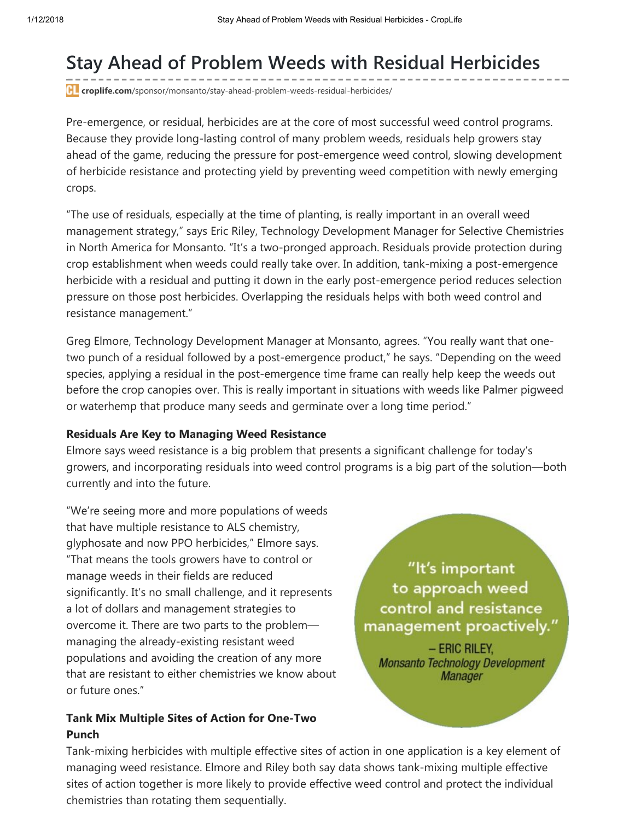## Stay Ahead of Problem Weeds with Residual Herbicides

**F** croplife.com[/sponsor/monsanto/stay-ahead-problem-weeds-residual-herbicides/](http://www.croplife.com/sponsor/monsanto/stay-ahead-problem-weeds-residual-herbicides/)

Pre-emergence, or residual, herbicides are at the core of most successful weed control programs. Because they provide long-lasting control of many problem weeds, residuals help growers stay ahead of the game, reducing the pressure for post-emergence weed control, slowing development of herbicide resistance and protecting yield by preventing weed competition with newly emerging crops.

"The use of residuals, especially at the time of planting, is really important in an overall weed management strategy," says Eric Riley, Technology Development Manager for Selective Chemistries in North America for Monsanto. "It's a two-pronged approach. Residuals provide protection during crop establishment when weeds could really take over. In addition, tank-mixing a post-emergence herbicide with a residual and putting it down in the early post-emergence period reduces selection pressure on those post herbicides. Overlapping the residuals helps with both weed control and resistance management."

Greg Elmore, Technology Development Manager at Monsanto, agrees. "You really want that onetwo punch of a residual followed by a post-emergence product," he says. "Depending on the weed species, applying a residual in the post-emergence time frame can really help keep the weeds out before the crop canopies over. This is really important in situations with weeds like Palmer pigweed or waterhemp that produce many seeds and germinate over a long time period."

## Residuals Are Key to Managing Weed Resistance

Elmore says weed resistance is a big problem that presents a significant challenge for today's growers, and incorporating residuals into weed control programs is a big part of the solution—both currently and into the future.

"We're seeing more and more populations of weeds that have multiple resistance to ALS chemistry, glyphosate and now PPO herbicides," Elmore says. "That means the tools growers have to control or manage weeds in their fields are reduced significantly. It's no small challenge, and it represents a lot of dollars and management strategies to overcome it. There are two parts to the problem managing the already-existing resistant weed populations and avoiding the creation of any more that are resistant to either chemistries we know about or future ones."

## Tank Mix Multiple Sites of Action for One-Two Punch

"It's important to approach weed control and resistance management proactively."

- ERIC RILEY, **Monsanto Technology Development Manager** 

Tank-mixing herbicides with multiple effective sites of action in one application is a key element of managing weed resistance. Elmore and Riley both say data shows tank-mixing multiple effective sites of action together is more likely to provide effective weed control and protect the individual chemistries than rotating them sequentially.